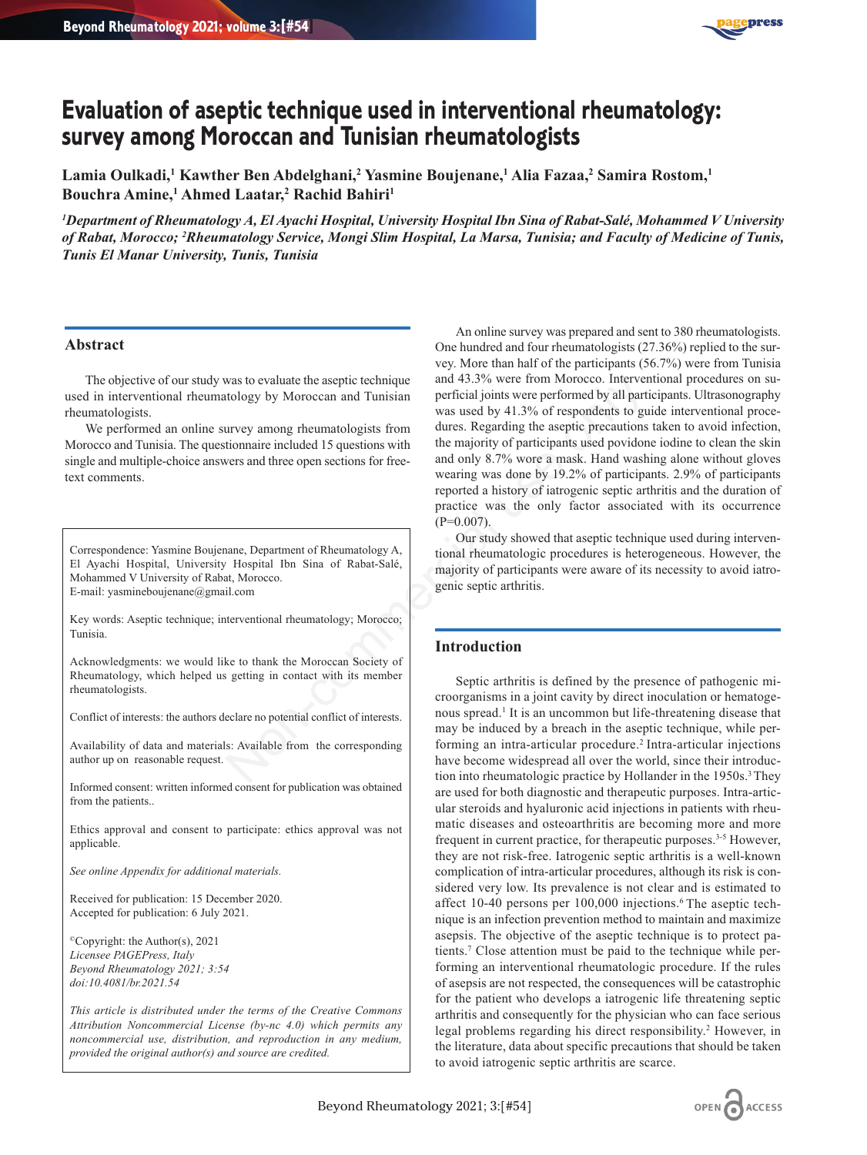

# **Evaluation of aseptic technique used in interventional rheumatology: survey among Moroccan and Tunisian rheumatologists**

**Lamia Oulkadi,1 Kawther Ben Abdelghani,2 Yasmine Boujenane,1 Alia Fazaa,2 Samira Rostom,1 Bouchra Amine,1 Ahmed Laatar,2 Rachid Bahiri1**

*1 Department of Rheumatology A, El Ayachi Hospital, University Hospital Ibn Sina of Rabat-Salé, Mohammed V University of Rabat, Morocco; 2 Rheumatology Service, Mongi Slim Hospital, La Marsa, Tunisia; and Faculty of Medicine of Tunis, Tunis El Manar University, Tunis, Tunisia*

## **Abstract**

The objective of our study was to evaluate the aseptic technique used in interventional rheumatology by Moroccan and Tunisian rheumatologists.

We performed an online survey among rheumatologists from Morocco and Tunisia. The questionnaire included 15 questions with single and multiple-choice answers and three open sections for freetext comments.

Correspondence: Yasmine Boujenane, Department of Rheumatology A, El Ayachi Hospital, University Hospital Ibn Sina of Rabat-Salé, Mohammed V University of Rabat, Morocco. E-mail: yasmineboujenane@gmail.com

Key words: Aseptic technique; interventional rheumatology; Morocco; Tunisia.

Acknowledgments: we would like to thank the Moroccan Society of Rheumatology, which helped us getting in contact with its member rheumatologists.

Conflict of interests: the authors declare no potential conflict of interests.

Availability of data and materials: Available from the corresponding author up on reasonable request.

Informed consent: written informed consent for publication was obtained from the patients..

Ethics approval and consent to participate: ethics approval was not applicable.

*See online Appendix for additional materials.*

Received for publication: 15 December 2020. Accepted for publication: 6 July 2021.

©Copyright: the Author(s), 2021 *Licensee PAGEPress, Italy Beyond Rheumatology 2021; 3:54 doi:10.4081/br.2021.54*

*This article is distributed under the terms of the Creative Commons Attribution Noncommercial License (by-nc 4.0) which permits any noncommercial use, distribution, and reproduction in any medium, provided the original author(s) and source are credited.*

An online survey was prepared and sent to 380 rheumatologists. One hundred and four rheumatologists (27.36%) replied to the survey. More than half of the participants (56.7%) were from Tunisia and 43.3% were from Morocco. Interventional procedures on superficial joints were performed by all participants. Ultrasonography was used by 41.3% of respondents to guide interventional procedures. Regarding the aseptic precautions taken to avoid infection, the majority of participants used povidone iodine to clean the skin and only 8.7% wore a mask. Hand washing alone without gloves wearing was done by 19.2% of participants. 2.9% of participants reported a history of iatrogenic septic arthritis and the duration of practice was the only factor associated with its occurrence  $(P=0.007)$ . Non-comment of Refreching and 43.3% were from Morocco. Intervertiology by Moroccan and Tunisian perfictial ionis were proformed by all particular in the values of the majority of participants is the text of the majority of

Our study showed that aseptic technique used during interventional rheumatologic procedures is heterogeneous. However, the majority of participants were aware of its necessity to avoid iatrogenic septic arthritis.

## **Introduction**

Septic arthritis is defined by the presence of pathogenic microorganisms in a joint cavity by direct inoculation or hematogenous spread.1 It is an uncommon but life-threatening disease that may be induced by a breach in the aseptic technique, while performing an intra-articular procedure.2 Intra-articular injections have become widespread all over the world, since their introduction into rheumatologic practice by Hollander in the 1950s.<sup>3</sup> They are used for both diagnostic and therapeutic purposes. Intra-articular steroids and hyaluronic acid injections in patients with rheumatic diseases and osteoarthritis are becoming more and more frequent in current practice, for therapeutic purposes.<sup>3-5</sup> However, they are not risk-free. Iatrogenic septic arthritis is a well-known complication of intra-articular procedures, although its risk is considered very low. Its prevalence is not clear and is estimated to affect 10-40 persons per 100,000 injections.<sup>6</sup> The aseptic technique is an infection prevention method to maintain and maximize asepsis. The objective of the aseptic technique is to protect patients.7 Close attention must be paid to the technique while performing an interventional rheumatologic procedure. If the rules of asepsis are not respected, the consequences will be catastrophic for the patient who develops a iatrogenic life threatening septic arthritis and consequently for the physician who can face serious legal problems regarding his direct responsibility.<sup>2</sup> However, in the literature, data about specific precautions that should be taken to avoid iatrogenic septic arthritis are scarce.

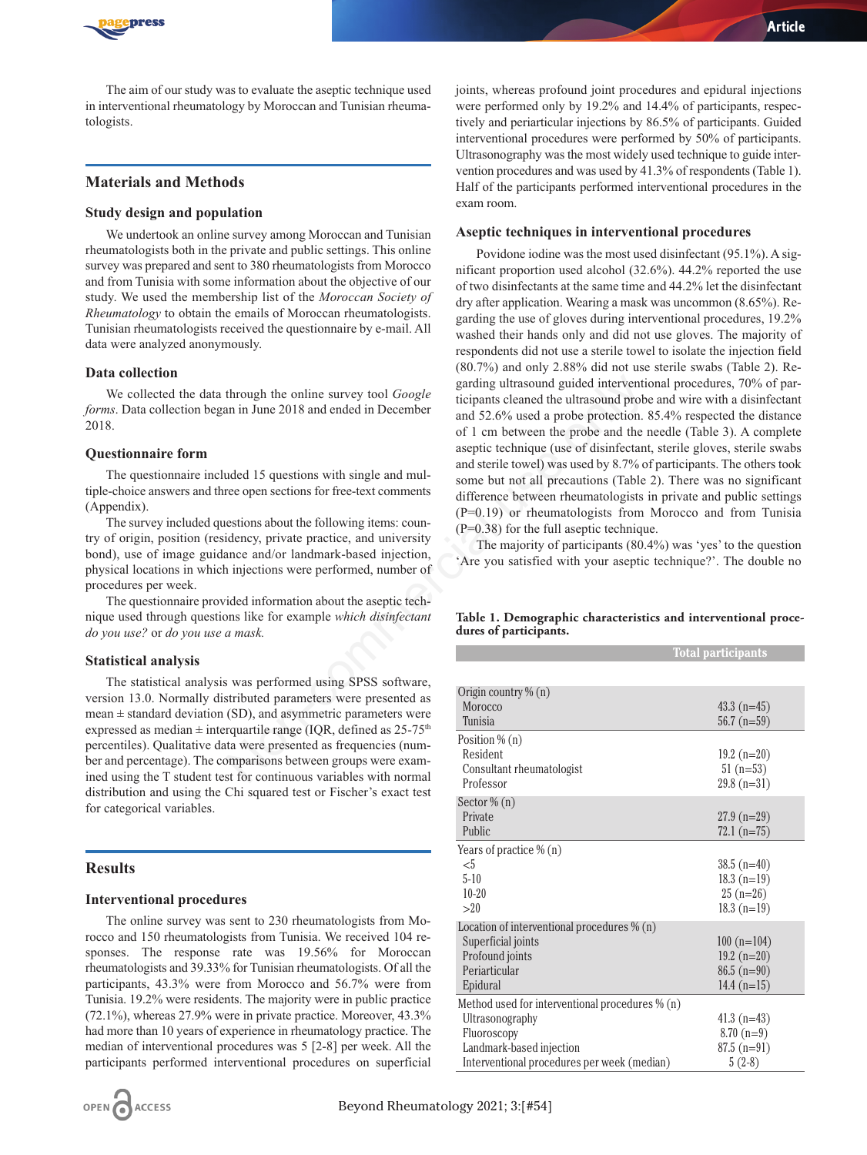

The aim of our study was to evaluate the aseptic technique used in interventional rheumatology by Moroccan and Tunisian rheumatologists.

## **Materials and Methods**

### **Study design and population**

We undertook an online survey among Moroccan and Tunisian rheumatologists both in the private and public settings. This online survey was prepared and sent to 380 rheumatologists from Morocco and from Tunisia with some information about the objective of our study. We used the membership list of the *Moroccan Society of Rheumatology* to obtain the emails of Moroccan rheumatologists. Tunisian rheumatologists received the questionnaire by e-mail. All data were analyzed anonymously.

### **Data collection**

We collected the data through the online survey tool *Google forms*. Data collection began in June 2018 and ended in December 2018.

#### **Questionnaire form**

The questionnaire included 15 questions with single and multiple-choice answers and three open sections for free-text comments (Appendix).

The survey included questions about the following items: country of origin, position (residency, private practice, and university bond), use of image guidance and/or landmark-based injection, physical locations in which injections were performed, number of procedures per week.

The questionnaire provided information about the aseptic technique used through questions like for example *which disinfectant do you use?* or *do you use a mask.* 

#### **Statistical analysis**

The statistical analysis was performed using SPSS software, version 13.0. Normally distributed parameters were presented as mean  $\pm$  standard deviation (SD), and asymmetric parameters were expressed as median  $\pm$  interquartile range (IQR, defined as 25-75<sup>th</sup> percentiles). Qualitative data were presented as frequencies (number and percentage). The comparisons between groups were examined using the T student test for continuous variables with normal distribution and using the Chi squared test or Fischer's exact test for categorical variables.

## **Results**

#### **Interventional procedures**

The online survey was sent to 230 rheumatologists from Morocco and 150 rheumatologists from Tunisia. We received 104 responses. The response rate was 19.56% for Moroccan rheumatologists and 39.33% for Tunisian rheumatologists. Of all the participants, 43.3% were from Morocco and 56.7% were from Tunisia. 19.2% were residents. The majority were in public practice (72.1%), whereas 27.9% were in private practice. Moreover, 43.3% had more than 10 years of experience in rheumatology practice. The median of interventional procedures was 5 [2-8] per week. All the participants performed interventional procedures on superficial

joints, whereas profound joint procedures and epidural injections were performed only by 19.2% and 14.4% of participants, respectively and periarticular injections by 86.5% of participants. Guided interventional procedures were performed by 50% of participants. Ultrasonography was the most widely used technique to guide intervention procedures and was used by 41.3% of respondents (Table 1). Half of the participants performed interventional procedures in the exam room.

#### **Aseptic techniques in interventional procedures**

Povidone iodine was the most used disinfectant (95.1%). A significant proportion used alcohol (32.6%). 44.2% reported the use of two disinfectants at the same time and 44.2% let the disinfectant dry after application. Wearing a mask was uncommon (8.65%). Regarding the use of gloves during interventional procedures, 19.2% washed their hands only and did not use gloves. The majority of respondents did not use a sterile towel to isolate the injection field (80.7%) and only 2.88% did not use sterile swabs (Table 2). Regarding ultrasound guided interventional procedures, 70% of participants cleaned the ultrasound probe and wire with a disinfectant and 52.6% used a probe protection. 85.4% respected the distance of 1 cm between the probe and the needle (Table 3). A complete aseptic technique (use of disinfectant, sterile gloves, sterile swabs and sterile towel) was used by 8.7% of participants. The others took some but not all precautions (Table 2). There was no significant difference between rheumatologists in private and public settings (P=0.19) or rheumatologists from Morocco and from Tunisia (P=0.38) for the full aseptic technique. through the online survey tool *Google*<br>
in in June 2018 and ended in December<br>
in an 52.6% used a probe protection.<br>
and 52.6% used a probe protection.<br>
and 52.6% used a probe protection.<br>
uded 15 questions with single a

The majority of participants (80.4%) was 'yes' to the question 'Are you satisfied with your aseptic technique?'. The double no

#### **Table 1. Demographic characteristics and interventional procedures of participants.**

|                                                    | <b>Total participants</b> |
|----------------------------------------------------|---------------------------|
|                                                    |                           |
| Origin country $\%$ (n)                            |                           |
| Morocco                                            | $43.3$ (n=45)             |
| Tunisia                                            | 56.7 $(n=59)$             |
| Position $\%$ (n)                                  |                           |
| Resident                                           | 19.2 $(n=20)$             |
| Consultant rheumatologist                          | $51(n=53)$                |
| Professor                                          | $29.8(n=31)$              |
| Sector $\%$ (n)                                    |                           |
| Private                                            | $27.9$ (n=29)             |
| Public                                             | $72.1 (n=75)$             |
| Years of practice $\%$ (n)                         |                           |
| $<$ 5                                              | $38.5(n=40)$              |
| $5-10$                                             | $18.3 (n=19)$             |
| $10-20$                                            | $25(n=26)$                |
| >20                                                | $18.3 (n=19)$             |
| Location of interventional procedures $\%$ (n)     |                           |
| Superficial joints                                 | $100 (n=104)$             |
| Profound joints                                    | 19.2 $(n=20)$             |
| Periarticular                                      | $86.5(n=90)$              |
| Epidural                                           | 14.4 $(n=15)$             |
| Method used for interventional procedures $\%$ (n) |                           |
| Ultrasonography                                    | $41.3$ (n=43)             |
| Fluoroscopy                                        | $8.70(n=9)$               |
| Landmark-based injection                           | $87.5(n=91)$              |
| Interventional procedures per week (median)        | $5(2-8)$                  |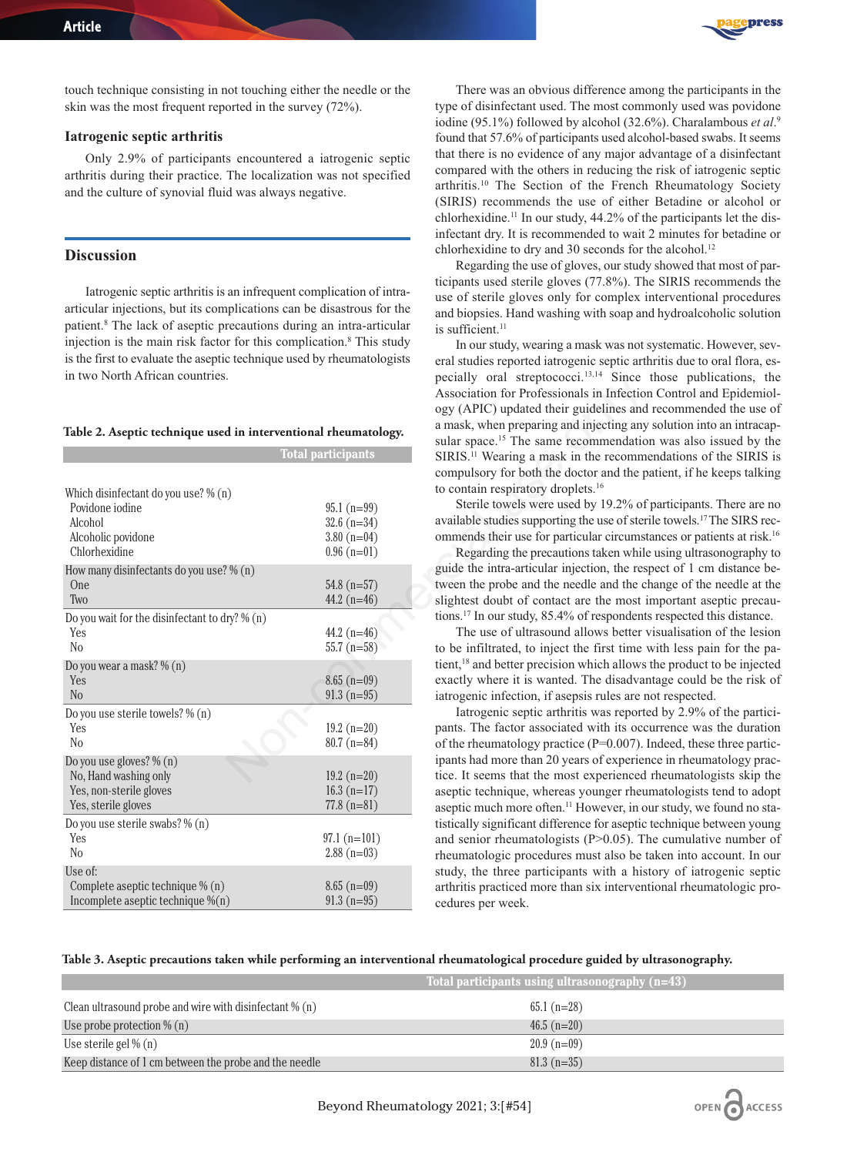

touch technique consisting in not touching either the needle or the skin was the most frequent reported in the survey (72%).

#### **Iatrogenic septic arthritis**

Only 2.9% of participants encountered a iatrogenic septic arthritis during their practice. The localization was not specified and the culture of synovial fluid was always negative.

## **Discussion**

Iatrogenic septic arthritis is an infrequent complication of intraarticular injections, but its complications can be disastrous for the patient.8 The lack of aseptic precautions during an intra-articular injection is the main risk factor for this complication.<sup>8</sup> This study is the first to evaluate the aseptic technique used by rheumatologists in two North African countries.

#### **Table 2. Aseptic technique used in interventional rheumatology.**

| III two inorth Alfican countries.<br>Table 2. Aseptic technique used in interventional rheumatology. |                                | pecially oral streptococci. <sup>19,14</sup> Since<br>Association for Professionals in Infection<br>ogy (APIC) updated their guidelines and<br>a mask, when preparing and injecting any<br>sular space. <sup>15</sup> The same recommendatio |  |
|------------------------------------------------------------------------------------------------------|--------------------------------|----------------------------------------------------------------------------------------------------------------------------------------------------------------------------------------------------------------------------------------------|--|
|                                                                                                      | <b>Total participants</b>      | SIRIS. <sup>11</sup> Wearing a mask in the recomm                                                                                                                                                                                            |  |
|                                                                                                      |                                | compulsory for both the doctor and the p                                                                                                                                                                                                     |  |
| Which disinfectant do you use? $% (n)$                                                               |                                | to contain respiratory droplets. <sup>16</sup>                                                                                                                                                                                               |  |
| Povidone iodine                                                                                      | $95.1(n=99)$                   | Sterile towels were used by 19.2% of                                                                                                                                                                                                         |  |
| Alcohol                                                                                              | $32.6$ (n=34)                  | available studies supporting the use of ster                                                                                                                                                                                                 |  |
| Alcoholic povidone                                                                                   | $3.80(n=04)$                   | ommends their use for particular circumst                                                                                                                                                                                                    |  |
| Chlorhexidine                                                                                        | $0.96$ (n=01)                  | Regarding the precautions taken while                                                                                                                                                                                                        |  |
| How many disinfectants do you use? $% (n)$                                                           |                                | guide the intra-articular injection, the res                                                                                                                                                                                                 |  |
| <b>One</b>                                                                                           | $54.8$ (n=57)                  | tween the probe and the needle and the c                                                                                                                                                                                                     |  |
| Two                                                                                                  | 44.2 $(n=46)$                  | slightest doubt of contact are the most i                                                                                                                                                                                                    |  |
| Do you wait for the disinfectant to dry? $% (n)$                                                     |                                | tions. <sup>17</sup> In our study, 85.4% of respondents                                                                                                                                                                                      |  |
| Yes                                                                                                  | 44.2 $(n=46)$                  | The use of ultrasound allows better v                                                                                                                                                                                                        |  |
| N <sub>o</sub>                                                                                       | $55.7$ (n=58)                  | to be infiltrated, to inject the first time                                                                                                                                                                                                  |  |
| Do you wear a mask? $% (n)$                                                                          |                                | tient, <sup>18</sup> and better precision which allows                                                                                                                                                                                       |  |
| Yes                                                                                                  | $8.65$ (n=09)                  | exactly where it is wanted. The disadvar                                                                                                                                                                                                     |  |
| N <sub>0</sub>                                                                                       | $91.3(n=95)$                   | iatrogenic infection, if asepsis rules are n                                                                                                                                                                                                 |  |
| Do you use sterile towels? $% (n)$                                                                   |                                | Iatrogenic septic arthritis was reporte                                                                                                                                                                                                      |  |
| Yes                                                                                                  | $19.2(n=20)$                   | pants. The factor associated with its occ                                                                                                                                                                                                    |  |
| N <sub>0</sub>                                                                                       | $80.7$ (n=84)                  | of the rheumatology practice ( $P=0.007$ ).                                                                                                                                                                                                  |  |
| Do you use gloves? $% (n)$                                                                           |                                | ipants had more than 20 years of experier                                                                                                                                                                                                    |  |
| No, Hand washing only                                                                                | $19.2 (n=20)$                  | tice. It seems that the most experienced                                                                                                                                                                                                     |  |
| Yes, non-sterile gloves                                                                              | $16.3(n=17)$<br>$77.8$ (n=81)  | aseptic technique, whereas younger rheu                                                                                                                                                                                                      |  |
| Yes, sterile gloves                                                                                  |                                | aseptic much more often. <sup>11</sup> However, in o                                                                                                                                                                                         |  |
| Do you use sterile swabs? $% (n)$<br>Yes                                                             |                                | tistically significant difference for aseptic                                                                                                                                                                                                |  |
| N <sub>o</sub>                                                                                       | $97.1(n=101)$<br>$2.88$ (n=03) | and senior rheumatologists $(P>0.05)$ . Tl                                                                                                                                                                                                   |  |
|                                                                                                      |                                | rheumatologic procedures must also be t                                                                                                                                                                                                      |  |
| Use of:                                                                                              |                                | study, the three participants with a his                                                                                                                                                                                                     |  |
| Complete aseptic technique % (n)<br>Incomplete aseptic technique %(n)                                | $8.65$ (n=09)<br>$91.3(n=95)$  | arthritis practiced more than six intervent<br>cedures per week.                                                                                                                                                                             |  |
|                                                                                                      |                                |                                                                                                                                                                                                                                              |  |

There was an obvious difference among the participants in the type of disinfectant used. The most commonly used was povidone iodine (95.1%) followed by alcohol (32.6%). Charalambous *et al.*<sup>9</sup> found that 57.6% of participants used alcohol-based swabs. It seems that there is no evidence of any major advantage of a disinfectant compared with the others in reducing the risk of iatrogenic septic arthritis.10 The Section of the French Rheumatology Society (SIRIS) recommends the use of either Betadine or alcohol or chlorhexidine.<sup>11</sup> In our study, 44.2% of the participants let the disinfectant dry. It is recommended to wait 2 minutes for betadine or chlorhexidine to dry and 30 seconds for the alcohol.<sup>12</sup>

Regarding the use of gloves, our study showed that most of participants used sterile gloves (77.8%). The SIRIS recommends the use of sterile gloves only for complex interventional procedures and biopsies. Hand washing with soap and hydroalcoholic solution is sufficient.<sup>11</sup>

In our study, wearing a mask was not systematic. However, several studies reported iatrogenic septic arthritis due to oral flora, especially oral streptococci.13,14 Since those publications, the Association for Professionals in Infection Control and Epidemiology (APIC) updated their guidelines and recommended the use of a mask, when preparing and injecting any solution into an intracapsular space.<sup>15</sup> The same recommendation was also issued by the SIRIS.11 Wearing a mask in the recommendations of the SIRIS is compulsory for both the doctor and the patient, if he keeps talking to contain respiratory droplets.<sup>16</sup>

Sterile towels were used by 19.2% of participants. There are no available studies supporting the use of sterile towels.17 The SIRS recommends their use for particular circumstances or patients at risk.<sup>16</sup>

Regarding the precautions taken while using ultrasonography to guide the intra-articular injection, the respect of 1 cm distance between the probe and the needle and the change of the needle at the slightest doubt of contact are the most important aseptic precautions.17 In our study, 85.4% of respondents respected this distance.

The use of ultrasound allows better visualisation of the lesion to be infiltrated, to inject the first time with less pain for the patient,18 and better precision which allows the product to be injected exactly where it is wanted. The disadvantage could be the risk of iatrogenic infection, if asepsis rules are not respected.

Iatrogenic septic arthritis was reported by 2.9% of the participants. The factor associated with its occurrence was the duration of the rheumatology practice (P=0.007). Indeed, these three participants had more than 20 years of experience in rheumatology practice. It seems that the most experienced rheumatologists skip the aseptic technique, whereas younger rheumatologists tend to adopt aseptic much more often.<sup>11</sup> However, in our study, we found no statistically significant difference for aseptic technique between young and senior rheumatologists  $(P>0.05)$ . The cumulative number of rheumatologic procedures must also be taken into account. In our study, the three participants with a history of iatrogenic septic arthritis practiced more than six interventional rheumatologic procedures per week.

#### **Table 3. Aseptic precautions taken while performing an interventional rheumatological procedure guided by ultrasonography.**

|                                                            | Total participants using ultrasonography (n=43) |  |  |
|------------------------------------------------------------|-------------------------------------------------|--|--|
| Clean ultrasound probe and wire with disinfectant $\%$ (n) | $65.1(n=28)$                                    |  |  |
| Use probe protection $\%$ (n)                              | 46.5 $(n=20)$                                   |  |  |
| Use sterile gel $\%$ (n)                                   | $20.9$ (n=09)                                   |  |  |
| Keep distance of 1 cm between the probe and the needle     | $81.3(n=35)$                                    |  |  |